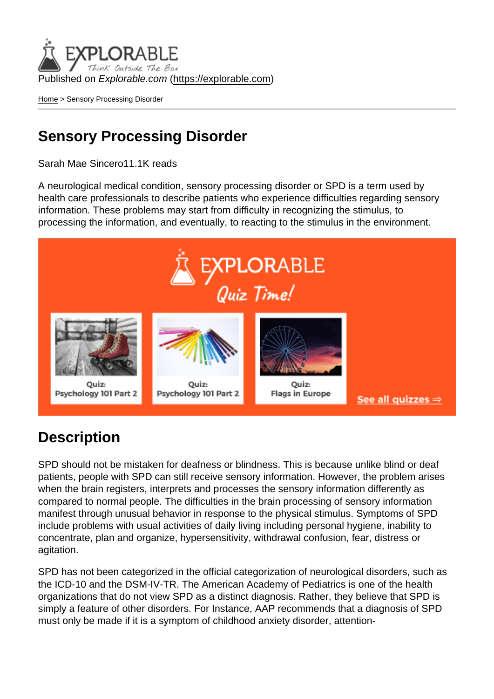Published on Explorable.com (<https://explorable.com>)

[Home](https://explorable.com/) > Sensory Processing Disorder

## Sensory Processing Disorder

Sarah Mae Sincero11.1K reads

A neurological medical condition, sensory processing disorder or SPD is a term used by health care professionals to describe patients who experience difficulties regarding sensory information. These problems may start from difficulty in recognizing the stimulus, to processing the information, and eventually, to reacting to the stimulus in the environment.

## **Description**

SPD should not be mistaken for deafness or blindness. This is because unlike blind or deaf patients, people with SPD can still receive sensory information. However, the problem arises when the brain registers, interprets and processes the sensory information differently as compared to normal people. The difficulties in the brain processing of sensory information manifest through unusual behavior in response to the physical stimulus. Symptoms of SPD include problems with usual activities of daily living including personal hygiene, inability to concentrate, plan and organize, hypersensitivity, withdrawal confusion, fear, distress or agitation.

SPD has not been categorized in the official categorization of neurological disorders, such as the ICD-10 and the DSM-IV-TR. The American Academy of Pediatrics is one of the health organizations that do not view SPD as a distinct diagnosis. Rather, they believe that SPD is simply a feature of other disorders. For Instance, AAP recommends that a diagnosis of SPD must only be made if it is a symptom of childhood anxiety disorder, attention